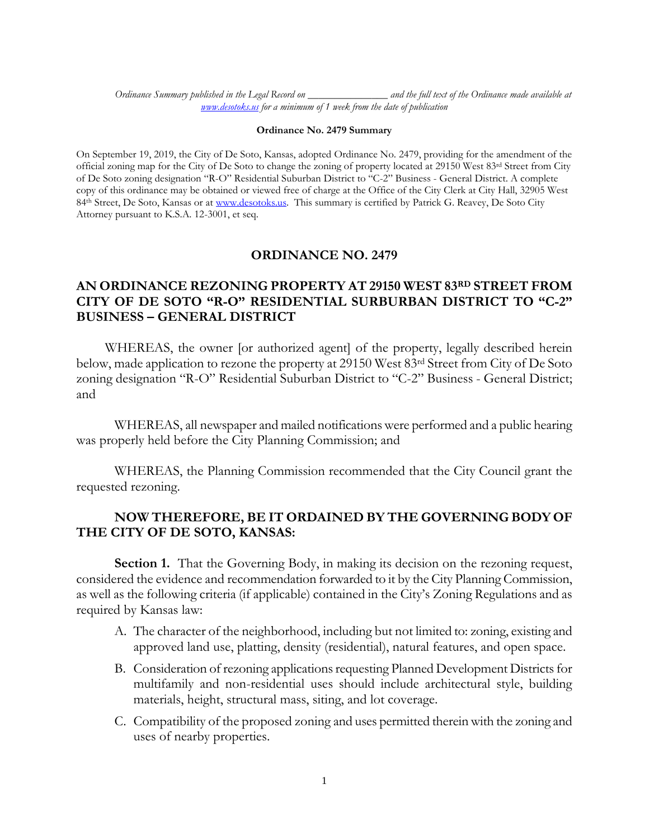*Ordinance Summary published in the Legal Record on \_\_\_\_\_\_\_\_\_\_\_\_\_\_\_ and the full text of the Ordinance made available at [www.desotoks.us](http://www.desotoks.us/) for a minimum of 1 week from the date of publication*

## **Ordinance No. 2479 Summary**

On September 19, 2019, the City of De Soto, Kansas, adopted Ordinance No. 2479, providing for the amendment of the official zoning map for the City of De Soto to change the zoning of property located at 29150 West 83rd Street from City of De Soto zoning designation "R-O" Residential Suburban District to "C-2" Business - General District. A complete copy of this ordinance may be obtained or viewed free of charge at the Office of the City Clerk at City Hall, 32905 West 84<sup>th</sup> Street, De Soto, Kansas or a[t www.desotoks.us.](http://www.desotoks.us/) This summary is certified by Patrick G. Reavey, De Soto City Attorney pursuant to K.S.A. 12-3001, et seq.

## **ORDINANCE NO. 2479**

## **AN ORDINANCE REZONING PROPERTY AT 29150 WEST 83RD STREET FROM CITY OF DE SOTO "R-O" RESIDENTIAL SURBURBAN DISTRICT TO "C-2" BUSINESS – GENERAL DISTRICT**

WHEREAS, the owner [or authorized agent] of the property, legally described herein below, made application to rezone the property at 29150 West 83rd Street from City of De Soto zoning designation "R-O" Residential Suburban District to "C-2" Business - General District; and

WHEREAS, all newspaper and mailed notifications were performed and a public hearing was properly held before the City Planning Commission; and

WHEREAS, the Planning Commission recommended that the City Council grant the requested rezoning.

## **NOW THEREFORE, BE IT ORDAINED BY THE GOVERNING BODY OF THE CITY OF DE SOTO, KANSAS:**

**Section 1.** That the Governing Body, in making its decision on the rezoning request, considered the evidence and recommendation forwarded to it by the City Planning Commission, as well as the following criteria (if applicable) contained in the City's Zoning Regulations and as required by Kansas law:

- A. The character of the neighborhood, including but not limited to: zoning, existing and approved land use, platting, density (residential), natural features, and open space.
- B. Consideration of rezoning applications requesting Planned Development Districts for multifamily and non-residential uses should include architectural style, building materials, height, structural mass, siting, and lot coverage.
- C. Compatibility of the proposed zoning and uses permitted therein with the zoning and uses of nearby properties.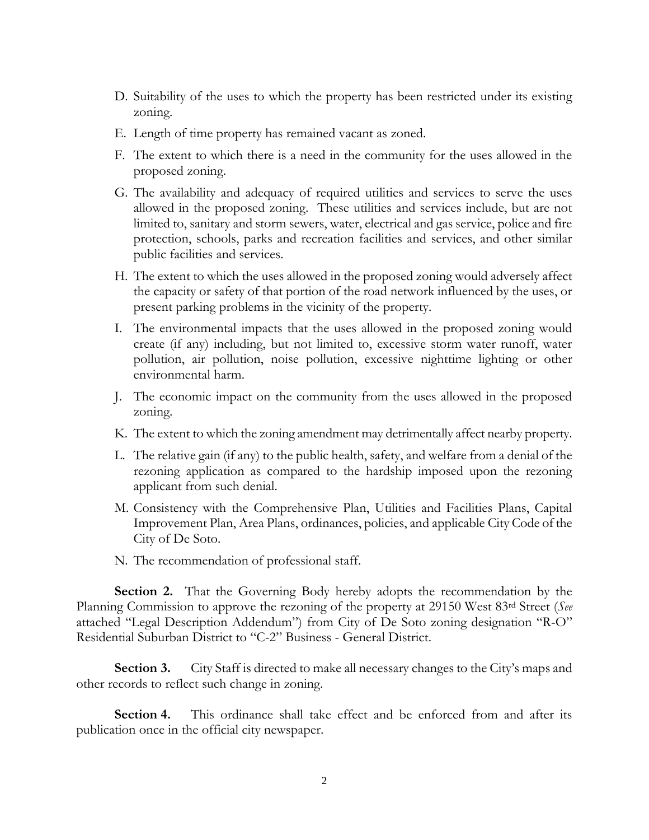- D. Suitability of the uses to which the property has been restricted under its existing zoning.
- E. Length of time property has remained vacant as zoned.
- F. The extent to which there is a need in the community for the uses allowed in the proposed zoning.
- G. The availability and adequacy of required utilities and services to serve the uses allowed in the proposed zoning. These utilities and services include, but are not limited to, sanitary and storm sewers, water, electrical and gas service, police and fire protection, schools, parks and recreation facilities and services, and other similar public facilities and services.
- H. The extent to which the uses allowed in the proposed zoning would adversely affect the capacity or safety of that portion of the road network influenced by the uses, or present parking problems in the vicinity of the property.
- I. The environmental impacts that the uses allowed in the proposed zoning would create (if any) including, but not limited to, excessive storm water runoff, water pollution, air pollution, noise pollution, excessive nighttime lighting or other environmental harm.
- J. The economic impact on the community from the uses allowed in the proposed zoning.
- K. The extent to which the zoning amendment may detrimentally affect nearby property.
- L. The relative gain (if any) to the public health, safety, and welfare from a denial of the rezoning application as compared to the hardship imposed upon the rezoning applicant from such denial.
- M. Consistency with the Comprehensive Plan, Utilities and Facilities Plans, Capital Improvement Plan, Area Plans, ordinances, policies, and applicable City Code of the City of De Soto.
- N. The recommendation of professional staff.

**Section 2.** That the Governing Body hereby adopts the recommendation by the Planning Commission to approve the rezoning of the property at 29150 West 83rd Street (*See*  attached "Legal Description Addendum") from City of De Soto zoning designation "R-O" Residential Suburban District to "C-2" Business - General District.

**Section 3.** City Staff is directed to make all necessary changes to the City's maps and other records to reflect such change in zoning.

**Section 4.** This ordinance shall take effect and be enforced from and after its publication once in the official city newspaper.